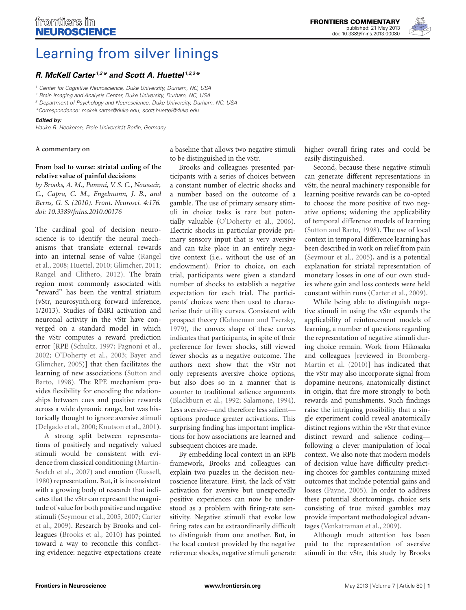

# [Learning from silver linings](http://www.frontiersin.org/Neuroscience/10.3389/fnins.2013.00080/full)

## *[R. McKell Carter](http://www.frontiersin.org/Community/WhosWhoActivity.aspx?sname=RCarter&UID=5275) 1,2\* and [Scott A. Huettel](http://www.frontiersin.org/Community/WhosWhoActivity.aspx?sname=ScottHuettel&UID=411) 1,2,3\**

*<sup>1</sup> Center for Cognitive Neuroscience, Duke University, Durham, NC, USA*

*<sup>2</sup> Brain Imaging and Analysis Center, Duke University, Durham, NC, USA*

*<sup>3</sup> Department of Psychology and Neuroscience, Duke University, Durham, NC, USA*

*\*Correspondence: mckell.carter@duke.edu; scott.huettel@duke.edu*

#### *Edited by:*

*Hauke R. Heekeren, Freie Universität Berlin, Germany*

#### **A commentary on**

## **[From bad to worse: striatal coding of the](http://www.frontiersin.org/decision_neuroscience/10.3389/fnins.2010.00176/abstract) [relative value of painful decisions](http://www.frontiersin.org/decision_neuroscience/10.3389/fnins.2010.00176/abstract)**

*by Brooks, A. M., Pammi, V. S. C., Noussair, C., Capra, C. M., Engelmann, J. B., and Berns, G. S. (2010). Front. Neurosci. 4:176. doi: 10.3389/fnins.2010.00176*

The cardinal goal of decision neuroscience is to identify the neural mechanisms that translate external rewards into [an internal sense of value \(](#page-1-0)Rangel et al., [2008;](#page-1-0) [Huettel, 2010;](#page-1-1) [Glimcher, 2011;](#page-1-2) [Rangel and Clithero, 2012\)](#page-1-3). The brain region most commonly associated with "reward" has been the ventral striatum (vStr, neurosynth.org forward inference, 1/2013). Studies of fMRI activation and neuronal activity in the vStr have converged on a standard model in which the vStr computes a reward prediction error [RPE [\(Schultz, 1997](#page-1-4); [Pagnoni et al.,](#page-1-5) [2002](#page-1-5); [O'Doherty et al.](#page-1-6)[,](#page-1-7) [2003](#page-1-6)[;](#page-1-7) Bayer and Glimcher, [2005](#page-1-7))] that then facilitates the learn[ing of new associations \(](#page-1-8)Sutton and Barto, [1998](#page-1-8)). The RPE mechanism provides flexibility for encoding the relationships between cues and positive rewards across a wide dynamic range, but was historically thought to ignore aversive stimuli [\(Delgado et al., 2000;](#page-1-9) [Knutson et al., 2001](#page-1-10)).

A strong split between representations of positively and negatively valued stimuli would be consistent with evidence from [classical conditioning \(](#page-1-11)Martin-Soelch et al., [2007\)](#page-1-11) and emotion [\(Russell](#page-1-12), [1980](#page-1-12)) representation. But, it is inconsistent with a growing body of research that indicates that the vStr can represent the magnitude of value for both positive and negative stim[uli](#page-1-15) [\(Seymour et al.](#page-1-13)[,](#page-1-15) [2005](#page-1-13)[,](#page-1-15) [2007](#page-1-14)[;](#page-1-15) Carter et al., [2009](#page-1-15)). Research by Brooks and colleagues [\(Brooks et al.](#page-1-16), [2010](#page-1-16)) has pointed toward a way to reconcile this conflicting evidence: negative expectations create a baseline that allows two negative stimuli to be distinguished in the vStr.

Brooks and colleagues presented participants with a series of choices between a constant number of electric shocks and a number based on the outcome of a gamble. The use of primary sensory stimuli in choice tasks is rare but potentially valuable [\(O'Doherty et al., 2006](#page-1-17)). Electric shocks in particular provide primary sensory input that is very aversive and can take place in an entirely negative context (i.e., without the use of an endowment). Prior to choice, on each trial, participants were given a standard number of shocks to establish a negative expectation for each trial. The participants' choices were then used to characterize their utility curves. Consistent with prospect theory [\(Kahneman and Tversky,](#page-1-18) [1979](#page-1-18)), the convex shape of these curves indicates that participants, in spite of their preference for fewer shocks, still viewed fewer shocks as a negative outcome. The authors next show that the vStr not only represents aversive choice options, but also does so in a manner that is counter to traditional salience arguments [\(Blackburn et al.](#page-1-19), [1992;](#page-1-19) [Salamone](#page-1-20), [1994](#page-1-20)). Less aversive—and therefore less salient options produce greater activations. This surprising finding has important implications for how associations are learned and subsequent choices are made.

By embedding local context in an RPE framework, Brooks and colleagues can explain two puzzles in the decision neuroscience literature. First, the lack of vStr activation for aversive but unexpectedly positive experiences can now be understood as a problem with firing-rate sensitivity. Negative stimuli that evoke low firing rates can be extraordinarily difficult to distinguish from one another. But, in the local context provided by the negative reference shocks, negative stimuli generate higher overall firing rates and could be easily distinguished.

Second, because these negative stimuli can generate different representations in vStr, the neural machinery responsible for learning positive rewards can be co-opted to choose the more positive of two negative options; widening the applicability of temporal difference models of learning [\(Sutton and Barto](#page-1-8), [1998](#page-1-8)). The use of local context in temporal difference learning has been described in work on relief from pain [\(Seymour et al.](#page-1-13), [2005\)](#page-1-13), and is a potential explanation for striatal representation of monetary losses in one of our own studies where gain and loss contexts were held constant within runs [\(Carter et al.](#page-1-15), [2009\)](#page-1-15).

While being able to distinguish negative stimuli in using the vStr expands the applicability of reinforcement models of learning, a number of questions regarding the representation of negative stimuli during choice remain. Work from Hikosaka and colleagu[es \[reviewed in](#page-1-21) Bromberg-Martin et al. [\(2010\)](#page-1-21)] has indicated that the vStr may also incorporate signal from dopamine neurons, anatomically distinct in origin, that fire more strongly to both rewards and punishments. Such findings raise the intriguing possibility that a single experiment could reveal anatomically distinct regions within the vStr that evince distinct reward and salience coding following a clever manipulation of local context. We also note that modern models of decision value have difficulty predicting choices for gambles containing mixed outcomes that include potential gains and losses [\(Payne](#page-1-22), [2005](#page-1-22)). In order to address these potential shortcomings, choice sets consisting of true mixed gambles may provide important methodological advantages [\(Venkatraman et al., 2009\)](#page-1-23).

Although much attention has been paid to the representation of aversive stimuli in the vStr, this study by Brooks